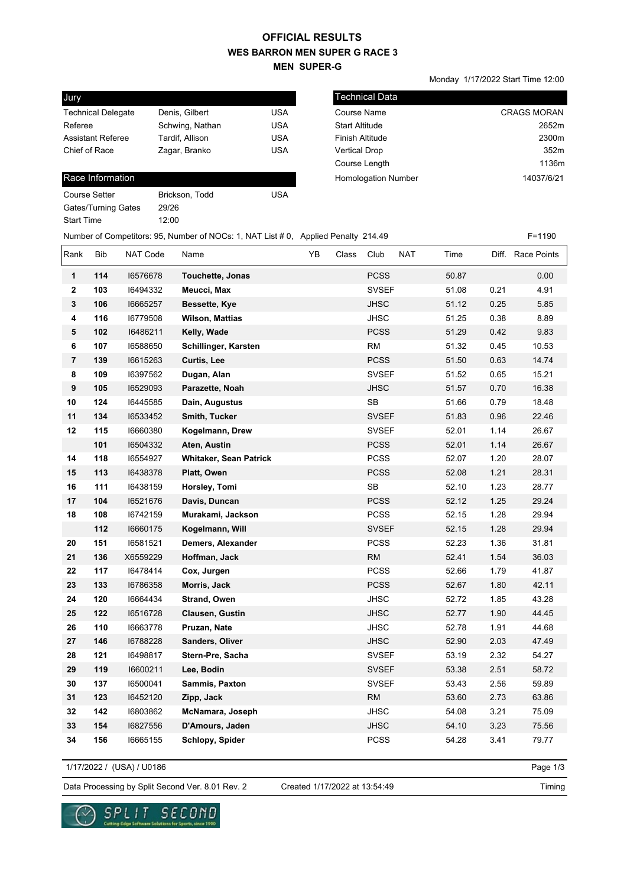## **WES BARRON MEN SUPER G RACE 3 MEN SUPER-G OFFICIAL RESULTS**

Monday 1/17/2022 Start Time 12:00

| Jury                      |                 |            |
|---------------------------|-----------------|------------|
| <b>Technical Delegate</b> | Denis, Gilbert  | USA        |
| Referee                   | Schwing, Nathan | <b>USA</b> |
| <b>Assistant Referee</b>  | Tardif, Allison | <b>USA</b> |
| Chief of Race             | Zagar, Branko   | <b>USA</b> |
|                           |                 |            |

## Race Information

| Course Setter       | Brickson, Todd | USA |
|---------------------|----------------|-----|
| Gates/Turning Gates | 29/26          |     |
| Start Time          | 12:00          |     |
|                     |                |     |

| l Technical Data           |                    |
|----------------------------|--------------------|
| Course Name                | <b>CRAGS MORAN</b> |
| <b>Start Altitude</b>      | 2652m              |
| <b>Finish Altitude</b>     | 2300m              |
| <b>Vertical Drop</b>       | 352m               |
| Course Length              | 1136m              |
| <b>Homologation Number</b> | 14037/6/21         |

| Number of Competitors: 95, Number of NOCs: 1, NAT List # 0, Applied Penalty 214.49 |  | $F = 1190$ |
|------------------------------------------------------------------------------------|--|------------|
|------------------------------------------------------------------------------------|--|------------|

| Rank           | <b>Bib</b> | <b>NAT Code</b> | Name                          | YB | Class | Club         | <b>NAT</b> | Time  |      | Diff. Race Points |
|----------------|------------|-----------------|-------------------------------|----|-------|--------------|------------|-------|------|-------------------|
| 1              | 114        | 16576678        | <b>Touchette, Jonas</b>       |    |       | <b>PCSS</b>  |            | 50.87 |      | 0.00              |
| $\mathbf{2}$   | 103        | 16494332        | Meucci, Max                   |    |       | <b>SVSEF</b> |            | 51.08 | 0.21 | 4.91              |
| 3              | 106        | 16665257        | Bessette, Kye                 |    |       | <b>JHSC</b>  |            | 51.12 | 0.25 | 5.85              |
| 4              | 116        | 16779508        | <b>Wilson, Mattias</b>        |    |       | JHSC         |            | 51.25 | 0.38 | 8.89              |
| 5              | 102        | 16486211        | Kelly, Wade                   |    |       | <b>PCSS</b>  |            | 51.29 | 0.42 | 9.83              |
| 6              | 107        | 16588650        | Schillinger, Karsten          |    |       | <b>RM</b>    |            | 51.32 | 0.45 | 10.53             |
| $\overline{7}$ | 139        | 16615263        | Curtis, Lee                   |    |       | <b>PCSS</b>  |            | 51.50 | 0.63 | 14.74             |
| 8              | 109        | 16397562        | Dugan, Alan                   |    |       | <b>SVSEF</b> |            | 51.52 | 0.65 | 15.21             |
| 9              | 105        | 16529093        | Parazette, Noah               |    |       | <b>JHSC</b>  |            | 51.57 | 0.70 | 16.38             |
| 10             | 124        | 16445585        | Dain, Augustus                |    |       | <b>SB</b>    |            | 51.66 | 0.79 | 18.48             |
| 11             | 134        | 16533452        | Smith, Tucker                 |    |       | <b>SVSEF</b> |            | 51.83 | 0.96 | 22.46             |
| 12             | 115        | 16660380        | Kogelmann, Drew               |    |       | <b>SVSEF</b> |            | 52.01 | 1.14 | 26.67             |
|                | 101        | 16504332        | Aten, Austin                  |    |       | <b>PCSS</b>  |            | 52.01 | 1.14 | 26.67             |
| 14             | 118        | 16554927        | <b>Whitaker, Sean Patrick</b> |    |       | <b>PCSS</b>  |            | 52.07 | 1.20 | 28.07             |
| 15             | 113        | 16438378        | Platt, Owen                   |    |       | <b>PCSS</b>  |            | 52.08 | 1.21 | 28.31             |
| 16             | 111        | 16438159        | Horsley, Tomi                 |    |       | <b>SB</b>    |            | 52.10 | 1.23 | 28.77             |
| 17             | 104        | 16521676        | Davis, Duncan                 |    |       | <b>PCSS</b>  |            | 52.12 | 1.25 | 29.24             |
| 18             | 108        | 16742159        | Murakami, Jackson             |    |       | <b>PCSS</b>  |            | 52.15 | 1.28 | 29.94             |
|                | 112        | 16660175        | Kogelmann, Will               |    |       | <b>SVSEF</b> |            | 52.15 | 1.28 | 29.94             |
| 20             | 151        | 16581521        | Demers, Alexander             |    |       | <b>PCSS</b>  |            | 52.23 | 1.36 | 31.81             |
| 21             | 136        | X6559229        | Hoffman, Jack                 |    |       | <b>RM</b>    |            | 52.41 | 1.54 | 36.03             |
| 22             | 117        | 16478414        | Cox, Jurgen                   |    |       | <b>PCSS</b>  |            | 52.66 | 1.79 | 41.87             |
| 23             | 133        | 16786358        | Morris, Jack                  |    |       | <b>PCSS</b>  |            | 52.67 | 1.80 | 42.11             |
| 24             | 120        | 16664434        | Strand, Owen                  |    |       | <b>JHSC</b>  |            | 52.72 | 1.85 | 43.28             |
| 25             | 122        | 16516728        | <b>Clausen, Gustin</b>        |    |       | <b>JHSC</b>  |            | 52.77 | 1.90 | 44.45             |
| 26             | 110        | 16663778        | Pruzan, Nate                  |    |       | <b>JHSC</b>  |            | 52.78 | 1.91 | 44.68             |
| 27             | 146        | 16788228        | Sanders, Oliver               |    |       | <b>JHSC</b>  |            | 52.90 | 2.03 | 47.49             |
| 28             | 121        | 16498817        | Stern-Pre, Sacha              |    |       | <b>SVSEF</b> |            | 53.19 | 2.32 | 54.27             |
| 29             | 119        | 16600211        | Lee, Bodin                    |    |       | SVSEF        |            | 53.38 | 2.51 | 58.72             |
| 30             | 137        | 16500041        | Sammis, Paxton                |    |       | <b>SVSEF</b> |            | 53.43 | 2.56 | 59.89             |
| 31             | 123        | 16452120        | Zipp, Jack                    |    |       | <b>RM</b>    |            | 53.60 | 2.73 | 63.86             |
| 32             | 142        | 16803862        | McNamara, Joseph              |    |       | JHSC         |            | 54.08 | 3.21 | 75.09             |
| 33             | 154        | 16827556        | D'Amours, Jaden               |    |       | <b>JHSC</b>  |            | 54.10 | 3.23 | 75.56             |
| 34             | 156        | 16665155        | Schlopy, Spider               |    |       | <b>PCSS</b>  |            | 54.28 | 3.41 | 79.77             |

1/17/2022 / (USA) / U0186

 $\vee$ 

SPLIT

ia Edge Soft

Page 1/3

Data Processing by Split Second Ver. 8.01 Rev. 2 Created 1/17/2022 at 13:54:49

SECOND

re Solutions for Sports, since 1990

Created 1/17/2022 at 13:54:49

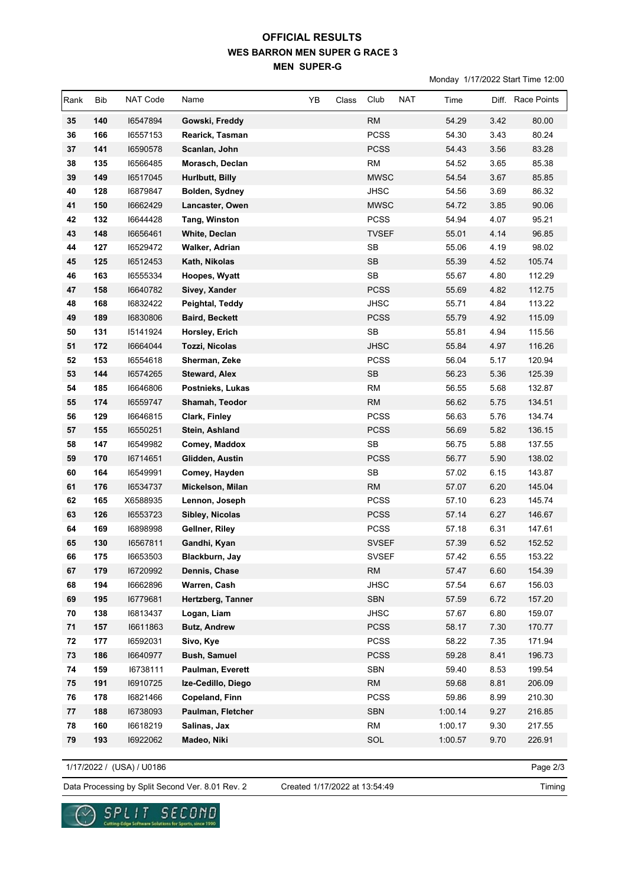## **WES BARRON MEN SUPER G RACE 3 MEN SUPER-G OFFICIAL RESULTS**

Monday 1/17/2022 Start Time 12:00

| Rank | Bib | NAT Code | Name                  | YB | Class | Club         | <b>NAT</b> | Time    |      | Diff. Race Points |
|------|-----|----------|-----------------------|----|-------|--------------|------------|---------|------|-------------------|
| 35   | 140 | 16547894 | Gowski, Freddy        |    |       | RM           |            | 54.29   | 3.42 | 80.00             |
| 36   | 166 | 16557153 | Rearick, Tasman       |    |       | <b>PCSS</b>  |            | 54.30   | 3.43 | 80.24             |
| 37   | 141 | 16590578 | Scanlan, John         |    |       | <b>PCSS</b>  |            | 54.43   | 3.56 | 83.28             |
| 38   | 135 | 16566485 | Morasch, Declan       |    |       | <b>RM</b>    |            | 54.52   | 3.65 | 85.38             |
| 39   | 149 | 16517045 | Hurlbutt, Billy       |    |       | <b>MWSC</b>  |            | 54.54   | 3.67 | 85.85             |
| 40   | 128 | 16879847 | Bolden, Sydney        |    |       | <b>JHSC</b>  |            | 54.56   | 3.69 | 86.32             |
| 41   | 150 | 16662429 | Lancaster, Owen       |    |       | <b>MWSC</b>  |            | 54.72   | 3.85 | 90.06             |
| 42   | 132 | 16644428 | <b>Tang, Winston</b>  |    |       | <b>PCSS</b>  |            | 54.94   | 4.07 | 95.21             |
| 43   | 148 | 16656461 | White, Declan         |    |       | TVSEF        |            | 55.01   | 4.14 | 96.85             |
| 44   | 127 | 16529472 | Walker, Adrian        |    |       | <b>SB</b>    |            | 55.06   | 4.19 | 98.02             |
| 45   | 125 | 16512453 | Kath, Nikolas         |    |       | <b>SB</b>    |            | 55.39   | 4.52 | 105.74            |
| 46   | 163 | 16555334 | Hoopes, Wyatt         |    |       | ${\sf SB}$   |            | 55.67   | 4.80 | 112.29            |
| 47   | 158 | 16640782 | Sivey, Xander         |    |       | <b>PCSS</b>  |            | 55.69   | 4.82 | 112.75            |
| 48   | 168 | 16832422 | Peightal, Teddy       |    |       | <b>JHSC</b>  |            | 55.71   | 4.84 | 113.22            |
| 49   | 189 | 16830806 | <b>Baird, Beckett</b> |    |       | <b>PCSS</b>  |            | 55.79   | 4.92 | 115.09            |
| 50   | 131 | 15141924 | Horsley, Erich        |    |       | SB           |            | 55.81   | 4.94 | 115.56            |
| 51   | 172 | 16664044 | Tozzi, Nicolas        |    |       | <b>JHSC</b>  |            | 55.84   | 4.97 | 116.26            |
| 52   | 153 | 16554618 | Sherman, Zeke         |    |       | <b>PCSS</b>  |            | 56.04   | 5.17 | 120.94            |
| 53   | 144 | 16574265 | <b>Steward, Alex</b>  |    |       | <b>SB</b>    |            | 56.23   | 5.36 | 125.39            |
| 54   | 185 | 16646806 | Postnieks, Lukas      |    |       | <b>RM</b>    |            | 56.55   | 5.68 | 132.87            |
| 55   | 174 | 16559747 | Shamah, Teodor        |    |       | <b>RM</b>    |            | 56.62   | 5.75 | 134.51            |
| 56   | 129 | 16646815 | Clark, Finley         |    |       | <b>PCSS</b>  |            | 56.63   | 5.76 | 134.74            |
| 57   | 155 | 16550251 | Stein, Ashland        |    |       | <b>PCSS</b>  |            | 56.69   | 5.82 | 136.15            |
| 58   | 147 | 16549982 | Comey, Maddox         |    |       | <b>SB</b>    |            | 56.75   | 5.88 | 137.55            |
| 59   | 170 | 16714651 | Glidden, Austin       |    |       | <b>PCSS</b>  |            | 56.77   | 5.90 | 138.02            |
| 60   | 164 | 16549991 | Comey, Hayden         |    |       | SB           |            | 57.02   | 6.15 | 143.87            |
| 61   | 176 | 16534737 | Mickelson, Milan      |    |       | <b>RM</b>    |            | 57.07   | 6.20 | 145.04            |
| 62   | 165 | X6588935 | Lennon, Joseph        |    |       | <b>PCSS</b>  |            | 57.10   | 6.23 | 145.74            |
| 63   | 126 | 16553723 | Sibley, Nicolas       |    |       | <b>PCSS</b>  |            | 57.14   | 6.27 | 146.67            |
| 64   | 169 | 16898998 | Gellner, Riley        |    |       | <b>PCSS</b>  |            | 57.18   | 6.31 | 147.61            |
| 65   | 130 | 16567811 | Gandhi, Kyan          |    |       | <b>SVSEF</b> |            | 57.39   | 6.52 | 152.52            |
| 66   | 175 | 16653503 | Blackburn, Jay        |    |       | <b>SVSEF</b> |            | 57.42   | 6.55 | 153.22            |
| 67   | 179 | 16720992 | Dennis, Chase         |    |       | <b>RM</b>    |            | 57.47   | 6.60 | 154.39            |
| 68   | 194 | 16662896 | Warren, Cash          |    |       | <b>JHSC</b>  |            | 57.54   | 6.67 | 156.03            |
| 69   | 195 | 16779681 | Hertzberg, Tanner     |    |       | <b>SBN</b>   |            | 57.59   | 6.72 | 157.20            |
| 70   | 138 | 16813437 | Logan, Liam           |    |       | <b>JHSC</b>  |            | 57.67   | 6.80 | 159.07            |
| 71   | 157 | 16611863 | <b>Butz, Andrew</b>   |    |       | <b>PCSS</b>  |            | 58.17   | 7.30 | 170.77            |
| 72   | 177 | 16592031 | Sivo, Kye             |    |       | PCSS         |            | 58.22   | 7.35 | 171.94            |
| 73   | 186 | 16640977 | <b>Bush, Samuel</b>   |    |       | <b>PCSS</b>  |            | 59.28   | 8.41 | 196.73            |
| 74   | 159 | 16738111 | Paulman, Everett      |    |       | <b>SBN</b>   |            | 59.40   | 8.53 | 199.54            |
| 75   | 191 | 16910725 | Ize-Cedillo, Diego    |    |       | RM           |            | 59.68   | 8.81 | 206.09            |
| 76   | 178 | 16821466 | Copeland, Finn        |    |       | PCSS         |            | 59.86   | 8.99 | 210.30            |
| 77   | 188 | 16738093 | Paulman, Fletcher     |    |       | SBN<br>RM    |            | 1:00.14 | 9.27 | 216.85            |
| 78   | 160 | 16618219 | Salinas, Jax          |    |       |              |            | 1:00.17 | 9.30 | 217.55            |
| 79   | 193 | 16922062 | Madeo, Niki           |    |       | SOL          |            | 1:00.57 | 9.70 | 226.91            |

1/17/2022 / (USA) / U0186

୰

Page 2/3

Data Processing by Split Second Ver. 8.01 Rev. 2 Created 1/17/2022 at 13:54:49

 $\underset{\text{Cattering Edyo Sofours Schutens for Sports, since 1990}}{\text{S.P.L.}}\underset{\text{Cattering Edyo Sofours}}{\text{T.T.}}\underset{\text{Schutens for Sports, since 1990}}{\text{T.T.}}\underset{\text{CFT}}{\text{C.T.}}\underset{\text{CFT}}{\text{T.T.}}$ 

Created 1/17/2022 at 13:54:49